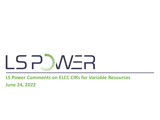

# **LS Power Comments on ELCC CIRs for Variable Resources June 24, 2022**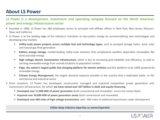### **About LS Power**

#### **LS Power is a development, investment and operating company focused on the North American power and energy infrastructure sector**

- Founded in 1990, LS Power has 280 employees across its principal and affiliate offices in New York, New Jersey, Missouri, Texas and California
- LS Power is at the leading edge of the industry's transition to low-carbon energy by commercializing new technologies and developing new markets.
	- **Utility-scale power projects across multiple fuel and technology types**, such as pumped storage hydro, wind, solar and natural gas-fired generation
	- **Battery energy storage**, market-leading utility-scale solutions that complement weather dependent renewables like wind and solar energy
	- **High voltage electric transmission infrastructure**, which is key to increasing grid reliability and efficiency, as well as carrying renewable energy from remote locations to population centers
	- **EVgo, the nation's largest public fast charging platform for electric vehicles** and first platform to be 100% powered by renewable energy
	- **CPower Energy Management**, the largest demand response provider in the country that is dedicated solely to the commercial and industrial sector
- Since inception, LS Power has developed, constructed, managed and acquired competitive power generation and transmission infrastructure, for which **we have raised over \$47 billion in debt and equity financing.**
	- **Developed over 11,000 MW of power generation** (both conventional and renewable) across the United States
	- **Acquired over 34,000 MW of power generation assets** (both conventional and renewable)
	- **Developed over 660 miles of high voltage transmission**, with ~400 miles of additional transmission under development

#### **Utilize deep industry expertise as owner/operator**

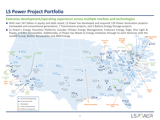# **LS Power Project Portfolio**

#### **Extensive development/operating experience across multiple markets and technologies**

- With over \$47 billion in equity and debt raised, LS Power has developed and acquired 120 Power Generation projects (renewable and conventional generation), 7 Transmission projects, and 5 Battery Energy Storage projects
- Mars 2.2MWdc **REV Renewables** ■ LS Power's Energy Transition Platforms includes CPower Energy Management, Endurant Energy, EVgo, Rise Light & Power, and REV Renewables. Additionally, LS Power has Waste to Energy initiatives through its Joint Ventures with the Landfill Group, BioStar Renewables and ARM Energy



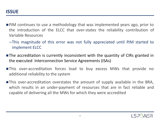- **PJM** continues to use a methodology that was implemented years ago, prior to the introduction of the ELCC that over-states the reliability contribution of Variable Resources
	- –This magnitude of this error was not fully appreciated until PJM started to implement ELCC
- **The accreditation is currently inconsistent with the quantity of CIRs granted in** the executed Interconnection Service Agreements (ISAs)
- This over-accreditation forces load to buy excess MWs that provide no additional reliability to the system
- This over-accreditation overstates the amount of supply available in the BRA, which results in an under-payment of resources that are in fact reliable and capable of delivering all the MWs for which they were accredited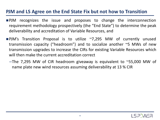### **PJM and LS Agree on the End State Fix but not how to Transition**

- PJM recognizes the issue and proposes to change the interconnection requirement methodology prospectively (the "End State") to determine the peak deliverability and accreditation of Variable Resources, and
- PJM's Transition Proposal is to utilize ~7,295 MW of currently unused transmission capacity ("headroom") and to socialize another ~5 MWs of new transmission upgrades to increase the CIRs for existing Variable Resources which will then make the current accreditation correct
	- –The 7,295 MW of CIR headroom giveaway is equivalent to ~55,000 MW of name plate new wind resources assuming deliverability at 13 % CIR

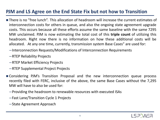# **PJM and LS Agree on the End State Fix but not how to Transition**

- **There is no "free lunch". This allocation of headroom will increase the current estimates of** interconnection costs for others in queue, and also the ongoing state agreement upgrade costs. This occurs because all these efforts assume the same baseline with the same 7295 MW unclaimed. PJM is now estimating the total cost of this **triple count** of utilizing this headroom. Right now there is no information on how these additional costs will be allocated. At any one time, currently, transmission system Base Cases" are used for:
	- –Interconnection Requests/Modifications of Interconnection Requirements
	- –RTEP Reliability Projects
	- –RTEP Market Efficiency Projects
	- –RTEP Supplemental Project Projects
- Considering PJM's Transition Proposal and the new interconnection queue process recently filed with FERC, inclusive of the above, the same Base Cases without the 7,295 MW will have to also be used for:
	- –Providing the headroom to renewable resources with executed ISAs
	- –Fast Lane/Transition Cycle 1 Projects
	- –State Agreement Approach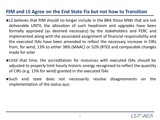## **PJM and LS Agree on the End State Fix but not how to Transition**

- **EXA** is believes that PJM should no longer include in the BRA those MWs that are not deliverable UNTIL the allocation of such headroom and upgrades have been formally approved (as deemed necessary) by the stakeholders and FERC and implemented along with the associated assignment of financial responsibility and the executed ISAs have been amended to reflect the necessary increase in CIRs from, for wind, 13% to either 38% (MAAC) or 52% (RTO) and comparable changes made for solar
- Until that time, the accreditation for resources with executed ISAs should be adjusted to properly limit hourly historic energy recognized to reflect the quantity of CIRs (e.g. 13% for wind) granted in the executed ISAs
- Such end state does not necessarily resolve disagreements on the implementation of the status quo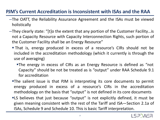# **PJM's Current Accreditation is Inconsistent with ISAs and the RAA**

- –The OATT, the Reliability Assurance Agreement and the ISAs must be viewed holistically
- –They clearly state: "[t]o the extent that any portion of the Customer Facility…is not a Capacity Resource with Capacity Interconnection Rights, such portion of the Customer Facility shall be an Energy Resource"
	- That is, energy produced in excess of a resource's CIRs should not be included in the accreditation methodology (which it currently is through the use of averaging)
		- The energy in excess of CIRs as an Energy Resource is defined as "not Capacity" should be not be treated as is "output" under RAA Schedule 9.1 for accreditation
	- The salient issue is that PJM is interpreting its core documents to permit energy produced in excess of a resource's CIRs in the accreditation methodology on the basis that "output" is not defined in its core documents
	- LS believes that just because "output" is not explicitly defined, it must be given meaning consistent with the rest of the Tariff and ISA—Section 2.1a of ISAs, Schedule 9 and Schedule 10. This is basic Tariff interpretation.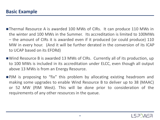- ■Thermal Resource A is awarded 100 MWs of CIRs. It can produce 110 MWs in the winter and 100 MWs in the Summer. Its accreditation is limited to 100MWs – the amount of CIRs it is awarded even if it produced (or could produce) 110 MW in every hour. (And it will be further derated in the conversion of its ICAP to UCAP based on its EFORd)
- Wind Resource B is awarded 13 MWs of CIRs. Currently all of its production, up to 100 MWs is included in its accreditation under ELCC, even though all output above 13 MWs is from an Energy Resource.
- ■PJM is proposing to "fix" this problem by allocating existing headroom and making some upgrades to enable Wind Resource B to deliver up to 38 (MAAC) or 52 MW (PJM West). This will be done prior to consideration of the requirements of any other resources in the queue.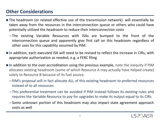## **Other Considerations**

- The headroom (or related effective use of the transmission network) will essentially be taken away from the resources in the interconnection queue or others who could have potentially utilized the headroom to reduce their interconnection costs
	- –The existing Variable Resources with ISAs are bumped to the front of the interconnection queue and apparently give first call on this headroom regardless of other uses for this capability assumed by PJM.
- In addition, each executed ISA will need to be revised to reflect the increase in CIRs, with appropriate authorization as needed, e.g. a FERC filing
- $\blacksquare$  In addition to the over-accreditation using the previous example, note the inequity if PJM allocates existing headroom (some of which Resource A may actually have helped create) solely to Resource B because of its fuel source.
	- –PJM's proposal will in fact allocate ALL of this existing headroom to preferred resources instead of to all resources
	- –This preferential treatment can be avoided if PJM instead follows its existing rules and requires the Variable Resource to pay for upgrades to make its output equal to its CIRs
	- –Some unknown portion of this headroom may also impact state agreement approach costs as well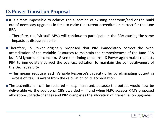### **LS Power Transition Proposal**

- It is almost impossible to achieve the allocation of existing headroom/and or the build out of necessary upgrades in time to make the current accreditation correct for the June BRA
	- –Therefore, the "virtual" MWs will continue to participate in the BRA causing the same impacts as discussed earlier
- Therefore, LS Power originally proposed that PJM immediately correct the overaccreditation of the Variable Resources to maintain the competiveness of the June BRA but PJM ignored our concern. Given the timing concerns, LS Power again makes requests PJM to immediately correct the over-accreditation to maintain the competitiveness of the Dec, 2022 BRA
	- –This means reducing each Variable Resource's capacity offer by eliminating output in excess of its CIRs award from the calculation of its accreditation
- The accreditation can be restored -- e.g. increased, because the output would now be deliverable via the additional CIRs awarded -- if and when FERC accepts PJM's proposed allocation/upgrade changes and PJM completes the allocation of transmission upgrades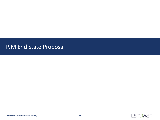# PJM End State Proposal